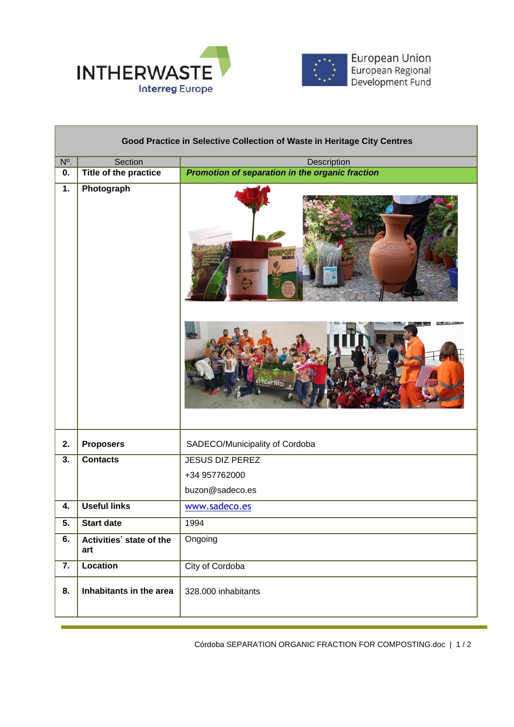

Л



European Union<br>European Regional<br>Development Fund

| Good Practice in Selective Collection of Waste in Heritage City Centres |                                 |                                                 |
|-------------------------------------------------------------------------|---------------------------------|-------------------------------------------------|
| N <sup>o</sup> .                                                        | Section                         | Description                                     |
| 0.                                                                      | <b>Title of the practice</b>    | Promotion of separation in the organic fraction |
| $\overline{1}$ .                                                        | Photograph                      | adeco                                           |
|                                                                         |                                 | el huertito                                     |
| 2.                                                                      | <b>Proposers</b>                | SADECO/Municipality of Cordoba                  |
| $\overline{3}$ .                                                        | <b>Contacts</b>                 | <b>JESUS DIZ PEREZ</b>                          |
|                                                                         |                                 | +34 957762000                                   |
|                                                                         |                                 | buzon@sadeco.es                                 |
| 4.                                                                      | <b>Useful links</b>             | www.sadeco.es                                   |
| 5.                                                                      | <b>Start date</b>               | 1994                                            |
| 6.                                                                      | Activities' state of the<br>art | Ongoing                                         |
| 7.                                                                      | <b>Location</b>                 | City of Cordoba                                 |
| 8.                                                                      | Inhabitants in the area         | 328.000 inhabitants                             |

Córdoba SEPARATION ORGANIC FRACTION FOR COMPOSTING.doc | 1 / 2